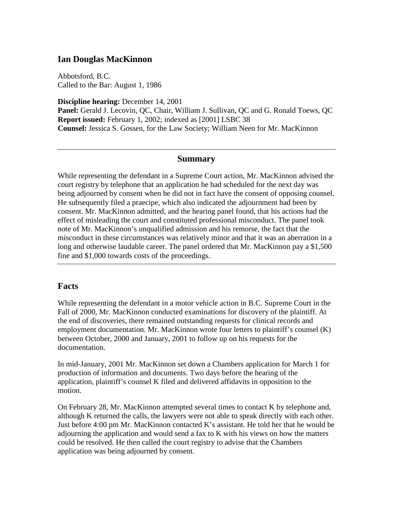### **Ian Douglas MacKinnon**

Abbotsford, B.C. Called to the Bar: August 1, 1986

**Discipline hearing:** December 14, 2001 **Panel:** Gerald J. Lecovin, QC, Chair, William J. Sullivan, QC and G. Ronald Toews, QC **Report issued:** February 1, 2002; indexed as [2001] LSBC 38 **Counsel:** Jessica S. Gossen, for the Law Society; William Neen for Mr. MacKinnon

#### **Summary**

While representing the defendant in a Supreme Court action, Mr. MacKinnon advised the court registry by telephone that an application he had scheduled for the next day was being adjourned by consent when he did not in fact have the consent of opposing counsel. He subsequently filed a praecipe, which also indicated the adjournment had been by consent. Mr. MacKinnon admitted, and the hearing panel found, that his actions had the effect of misleading the court and constituted professional misconduct. The panel took note of Mr. MacKinnon's unqualified admission and his remorse, the fact that the misconduct in these circumstances was relatively minor and that it was an aberration in a long and otherwise laudable career. The panel ordered that Mr. MacKinnon pay a \$1,500 fine and \$1,000 towards costs of the proceedings.

### **Facts**

While representing the defendant in a motor vehicle action in B.C. Supreme Court in the Fall of 2000, Mr. MacKinnon conducted examinations for discovery of the plaintiff. At the end of discoveries, there remained outstanding requests for clinical records and employment documentation. Mr. MacKinnon wrote four letters to plaintiff's counsel (K) between October, 2000 and January, 2001 to follow up on his requests for the documentation.

In mid-January, 2001 Mr. MacKinnon set down a Chambers application for March 1 for production of information and documents. Two days before the hearing of the application, plaintiff's counsel K filed and delivered affidavits in opposition to the motion.

On February 28, Mr. MacKinnon attempted several times to contact K by telephone and, although K returned the calls, the lawyers were not able to speak directly with each other. Just before 4:00 pm Mr. MacKinnon contacted K's assistant. He told her that he would be adjourning the application and would send a fax to K with his views on how the matters could be resolved. He then called the court registry to advise that the Chambers application was being adjourned by consent.